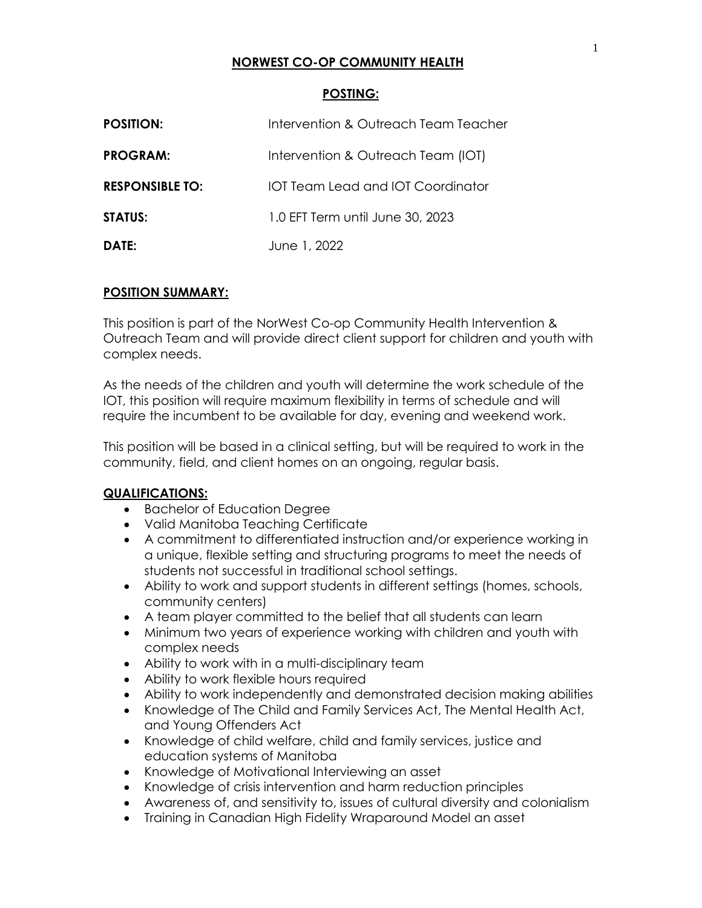# **NORWEST CO-OP COMMUNITY HEALTH**

### **POSTING:**

| <b>POSITION:</b>       | Intervention & Outreach Team Teacher |
|------------------------|--------------------------------------|
| <b>PROGRAM:</b>        | Intervention & Outreach Team (IOT)   |
| <b>RESPONSIBLE TO:</b> | IOT Team Lead and IOT Coordinator    |
| <b>STATUS:</b>         | 1.0 EFT Term until June 30, 2023     |
| DATE:                  | June 1, 2022                         |

#### **POSITION SUMMARY:**

This position is part of the NorWest Co-op Community Health Intervention & Outreach Team and will provide direct client support for children and youth with complex needs.

As the needs of the children and youth will determine the work schedule of the IOT, this position will require maximum flexibility in terms of schedule and will require the incumbent to be available for day, evening and weekend work.

This position will be based in a clinical setting, but will be required to work in the community, field, and client homes on an ongoing, regular basis.

#### **QUALIFICATIONS:**

- Bachelor of Education Degree
- Valid Manitoba Teaching Certificate
- A commitment to differentiated instruction and/or experience working in a unique, flexible setting and structuring programs to meet the needs of students not successful in traditional school settings.
- Ability to work and support students in different settings (homes, schools, community centers)
- A team player committed to the belief that all students can learn
- Minimum two years of experience working with children and youth with complex needs
- Ability to work with in a multi-disciplinary team
- Ability to work flexible hours required
- Ability to work independently and demonstrated decision making abilities
- Knowledge of The Child and Family Services Act, The Mental Health Act, and Young Offenders Act
- Knowledge of child welfare, child and family services, justice and education systems of Manitoba
- Knowledge of Motivational Interviewing an asset
- Knowledge of crisis intervention and harm reduction principles
- Awareness of, and sensitivity to, issues of cultural diversity and colonialism
- Training in Canadian High Fidelity Wraparound Model an asset